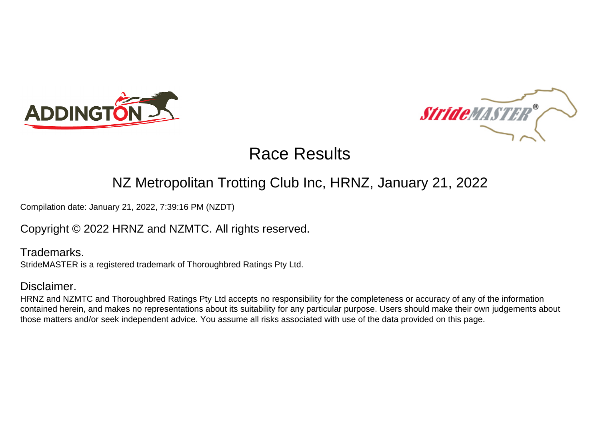



### NZ Metropolitan Trotting Club Inc, HRNZ, January 21, 2022

Compilation date: January 21, 2022, 7:39:16 PM (NZDT)

### Copyright © 2022 HRNZ and NZMTC. All rights reserved.

Trademarks. StrideMASTER is a registered trademark of Thoroughbred Ratings Pty Ltd.

### Disclaimer.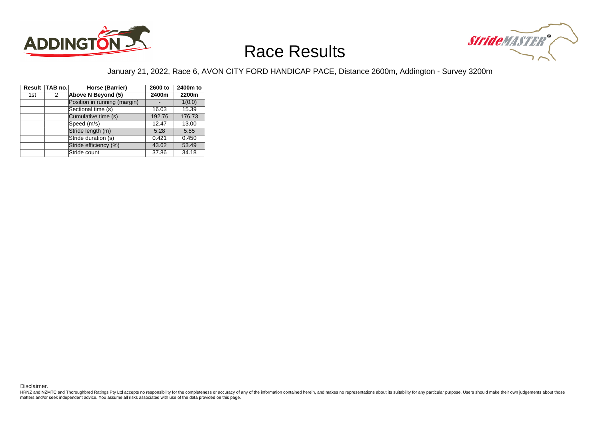



#### January 21, 2022, Race 6, AVON CITY FORD HANDICAP PACE, Distance 2600m, Addington - Survey 3200m

|     | Result TAB no. | Horse (Barrier)              | 2600 to | 2400m to |
|-----|----------------|------------------------------|---------|----------|
| 1st | 2              | Above N Beyond (5)           | 2400m   | 2200m    |
|     |                | Position in running (margin) |         | 1(0.0)   |
|     |                | Sectional time (s)           | 16.03   | 15.39    |
|     |                | Cumulative time (s)          | 192.76  | 176.73   |
|     |                | Speed (m/s)                  | 12.47   | 13.00    |
|     |                | Stride length (m)            | 5.28    | 5.85     |
|     |                | Stride duration (s)          | 0.421   | 0.450    |
|     |                | Stride efficiency (%)        | 43.62   | 53.49    |
|     |                | Stride count                 | 37.86   | 34.18    |

Disclaimer.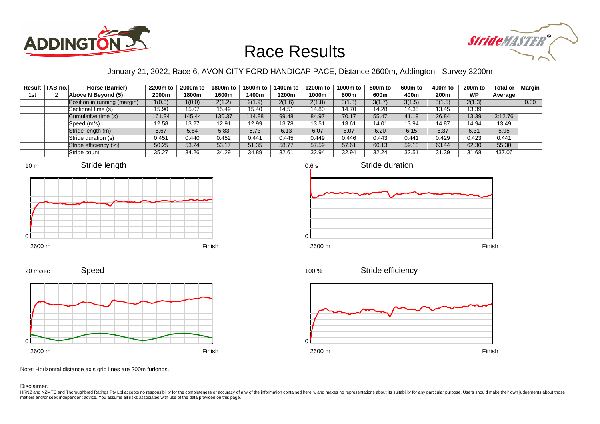



### January 21, 2022, Race 6, AVON CITY FORD HANDICAP PACE, Distance 2600m, Addington - Survey 3200m

0.6 s

|     | Result TAB no. | Horse (Barrier)              | 2200m to | 2000m to | 1800m to | 1600m to | 1400m to | 1200m to | 1000m to | 800m to | 600m to | 400m to | $200m$ to | Total or | Margin |
|-----|----------------|------------------------------|----------|----------|----------|----------|----------|----------|----------|---------|---------|---------|-----------|----------|--------|
| 1st |                | Above N Beyond (5)           | 2000m    | 1800m    | 1600m    | 400m     | 1200m    | 1000m    | 800m     | 600m    | 400m    | 200m    | <b>WP</b> | Average  |        |
|     |                | Position in running (margin) | 1(0.0)   | 1(0.0)   | 2(1.2)   | 2(1.9)   | 2(1.6)   | 2(1.8)   | 3(1.8)   | 3(1.7)  | 3(1.5)  | 3(1.5)  | 2(1.3)    |          | 0.00   |
|     |                | Sectional time (s)           | 15.90    | 15.07    | 15.49    | 15.40    | 14.51    | 14.80    | 14.70    | 14.28   | 14.35   | 13.45   | 13.39     |          |        |
|     |                | Cumulative time (s)          | 161.34   | 145.44   | 130.37   | 114.88   | 99.48    | 84.97    | 70.17    | 55.47   | 41.19   | 26.84   | 13.39     | 3:12.76  |        |
|     |                | Speed (m/s)                  | 12.58    | 13.27    | 12.91    | 12.99    | 13.78    | 13.51    | 13.61    | 14.01   | 13.94   | 14.87   | 14.94     | 13.49    |        |
|     |                | Stride length (m)            | 5.67     | 5.84     | 5.83     | 5.73     | 6.13     | 6.07     | 6.07     | 6.20    | 6.15    | 6.37    | 6.31      | 5.95     |        |
|     |                | Stride duration (s)          | 0.451    | 0.440    | 0.452    | 0.441    | 0.445    | 0.449    | 0.446    | 0.443   | 0.441   | 0.429   | 0.423     | 0.441    |        |
|     |                | Stride efficiency (%)        | 50.25    | 53.24    | 53.17    | 51.35    | 58.77    | 57.59    | 57.61    | 60.13   | 59.13   | 63.44   | 62.30     | 55.30    |        |
|     |                | Stride count                 | 35.27    | 34.26    | 34.29    | 34.89    | 32.61    | 32.94    | 32.94    | 32.24   | 32.51   | 31.39   | 31.68     | 437.06   |        |















Note: Horizontal distance axis grid lines are 200m furlongs.

#### Disclaimer.

20 m/sec

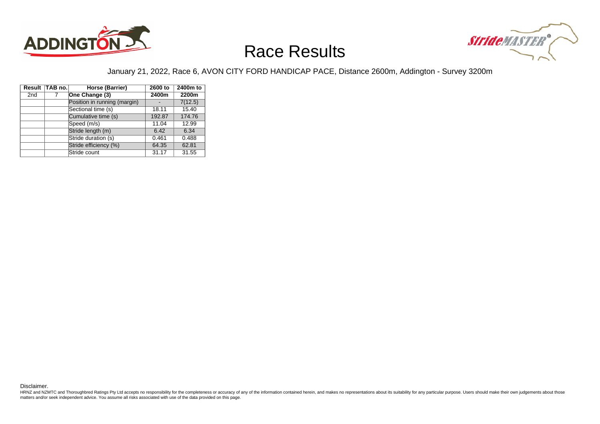



#### January 21, 2022, Race 6, AVON CITY FORD HANDICAP PACE, Distance 2600m, Addington - Survey 3200m

|                 | Result TAB no. | Horse (Barrier)              | 2600 to | 2400m to |
|-----------------|----------------|------------------------------|---------|----------|
| 2 <sub>nd</sub> | 7              | One Change (3)               | 2400m   | 2200m    |
|                 |                | Position in running (margin) |         | 7(12.5)  |
|                 |                | Sectional time (s)           | 18.11   | 15.40    |
|                 |                | Cumulative time (s)          | 192.87  | 174.76   |
|                 |                | Speed (m/s)                  | 11.04   | 12.99    |
|                 |                | Stride length (m)            | 6.42    | 6.34     |
|                 |                | Stride duration (s)          | 0.461   | 0.488    |
|                 |                | Stride efficiency (%)        | 64.35   | 62.81    |
|                 |                | Stride count                 | 31.17   | 31.55    |

Disclaimer.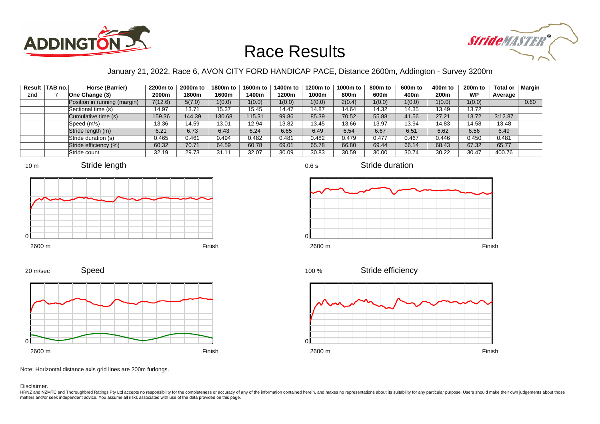



### January 21, 2022, Race 6, AVON CITY FORD HANDICAP PACE, Distance 2600m, Addington - Survey 3200m

0.6 s

|                 | Result TAB no. | Horse (Barrier)              | 2200m to | 2000m to | 1800m to | 1600m to | 1400m to | 1200m to | 1000m to | 800m to | 600m to | 400m to          | $200m$ to | Total or | Margin |
|-----------------|----------------|------------------------------|----------|----------|----------|----------|----------|----------|----------|---------|---------|------------------|-----------|----------|--------|
| 2 <sub>nd</sub> |                | One Change (3)               | 2000m    | 1800m    | 1600m    | l 400m   | 1200m    | 1000m    | 800m     | 600m    | 400m    | 200 <sub>m</sub> | <b>WP</b> | Average  |        |
|                 |                | Position in running (margin) | 7(12.6)  | 5(7.0)   | 1(0.0)   | 1(0.0)   | 1(0.0)   | 1(0.0)   | 2(0.4)   | 1(0.0)  | 1(0.0)  | 1(0.0)           | 1(0.0)    |          | 0.60   |
|                 |                | Sectional time (s)           | 14.97    | 13.71    | 15.37    | 15.45    | 14.47    | 14.87    | 14.64    | 14.32   | 14.35   | 13.49            | 13.72     |          |        |
|                 |                | Cumulative time (s)          | 159.36   | 144.39   | 130.68   | 115.31   | 99.86    | 85.39    | 70.52    | 55.88   | 41.56   | 27.21            | 13.72     | 3:12.87  |        |
|                 |                | Speed (m/s)                  | 13.36    | 14.59    | 13.01    | 12.94    | 13.82    | 13.45    | 13.66    | 13.97   | 13.94   | 14.83            | 14.58     | 13.48    |        |
|                 |                | Stride length (m)            | 6.21     | 6.73     | 6.43     | 6.24     | 6.65     | 6.49     | 6.54     | 6.67    | 6.51    | 6.62             | 6.56      | 6.49     |        |
|                 |                | Stride duration (s)          | 0.465    | 0.461    | 0.494    | 0.482    | 0.481    | 0.482    | 0.479    | 0.477   | 0.467   | 0.446            | 0.450     | 0.481    |        |
|                 |                | Stride efficiency (%)        | 60.32    | 70.71    | 64.59    | 60.78    | 69.01    | 65.78    | 66.80    | 69.44   | 66.14   | 68.43            | 67.32     | 65.77    |        |
|                 |                | Stride count                 | 32.19    | 29.73    | 31.11    | 32.07    | 30.09    | 30.83    | 30.59    | 30.00   | 30.74   | 30.22            | 30.47     | 400.76   |        |









2600 m Finish

Stride duration



Stride efficiency 100 %



Note: Horizontal distance axis grid lines are 200m furlongs.

Disclaimer.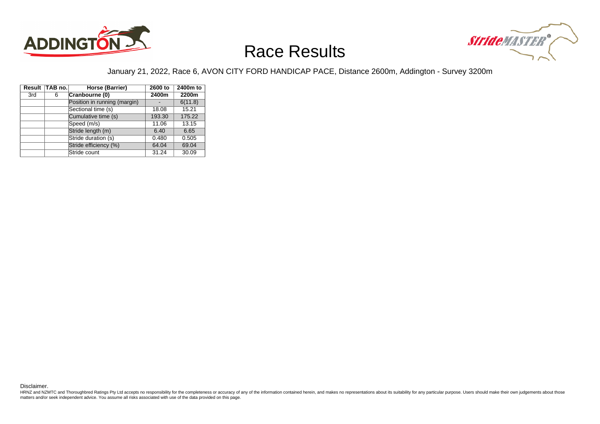



#### January 21, 2022, Race 6, AVON CITY FORD HANDICAP PACE, Distance 2600m, Addington - Survey 3200m

|     | Result TAB no. | Horse (Barrier)              | 2600 to | 2400m to |
|-----|----------------|------------------------------|---------|----------|
| 3rd | 6              | Cranbourne (0)               | 2400m   | 2200m    |
|     |                | Position in running (margin) |         | 6(11.8)  |
|     |                | Sectional time (s)           | 18.08   | 15.21    |
|     |                | Cumulative time (s)          | 193.30  | 175.22   |
|     |                | Speed (m/s)                  | 11.06   | 13.15    |
|     |                | Stride length (m)            | 6.40    | 6.65     |
|     |                | Stride duration (s)          | 0.480   | 0.505    |
|     |                | Stride efficiency (%)        | 64.04   | 69.04    |
|     |                | Stride count                 | 31.24   | 30.09    |

Disclaimer.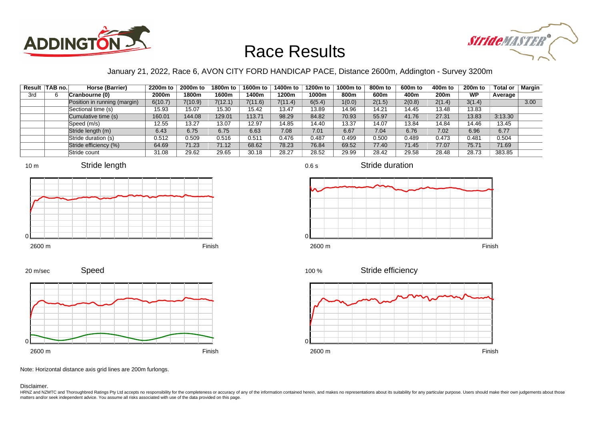



### January 21, 2022, Race 6, AVON CITY FORD HANDICAP PACE, Distance 2600m, Addington - Survey 3200m

|     | Result TAB no. | Horse (Barrier)              | 2200m to | 2000m to | 1800m to | 1600m to | 1400m to | 1200m to | 1000m to | 800m to | 600m to | 400m to | 200 <sub>m</sub> to | Total or | Margin |
|-----|----------------|------------------------------|----------|----------|----------|----------|----------|----------|----------|---------|---------|---------|---------------------|----------|--------|
| 3rd |                | Cranbourne (0)               | 2000m    | 1800m    | 1600m    | 400m     | 1200m    | 1000m    | 800m     | 600m    | 400m    | 200m    | <b>WP</b>           | Average  |        |
|     |                | Position in running (margin) | 6(10.7)  | 7(10.9)  | 7(12.1)  | 7(11.6)  | 7(11.4)  | 6(5.4)   | 1(0.0)   | 2(1.5)  | 2(0.8)  | 2(1.4)  | 3(1.4)              |          | 3.00   |
|     |                | Sectional time (s)           | 15.93    | 15.07    | 15.30    | 15.42    | 13.47    | 13.89    | 14.96    | 14.21   | 14.45   | 13.48   | 13.83               |          |        |
|     |                | Cumulative time (s)          | 160.01   | 144.08   | 129.01   | 13.71    | 98.29    | 84.82    | 70.93    | 55.97   | 41.76   | 27.31   | 13.83               | 3:13.30  |        |
|     |                | Speed (m/s)                  | 12.55    | 13.27    | 13.07    | 12.97    | 14.85    | 14.40    | 13.37    | 14.07   | 13.84   | 14.84   | 14.46               | 13.45    |        |
|     |                | Stride length (m)            | 6.43     | 6.75     | 6.75     | 6.63     | 7.08     | 7.01     | 6.67     | 7.04    | 6.76    | 7.02    | 6.96                | 6.77     |        |
|     |                | Stride duration (s)          | 0.512    | 0.509    | 0.516    | 0.511    | 0.476    | 0.487    | 0.499    | 0.500   | 0.489   | 0.473   | 0.481               | 0.504    |        |
|     |                | Stride efficiency (%)        | 64.69    | 71.23    | 71.12    | 68.62    | 78.23    | 76.84    | 69.52    | 77.40   | 71.45   | 77.07   | 75.71               | 71.69    |        |
|     |                | Stride count                 | 31.08    | 29.62    | 29.65    | 30.18    | 28.27    | 28.52    | 29.99    | 28.42   | 29.58   | 28.48   | 28.73               | 383.85   |        |

















Note: Horizontal distance axis grid lines are 200m furlongs.

Disclaimer.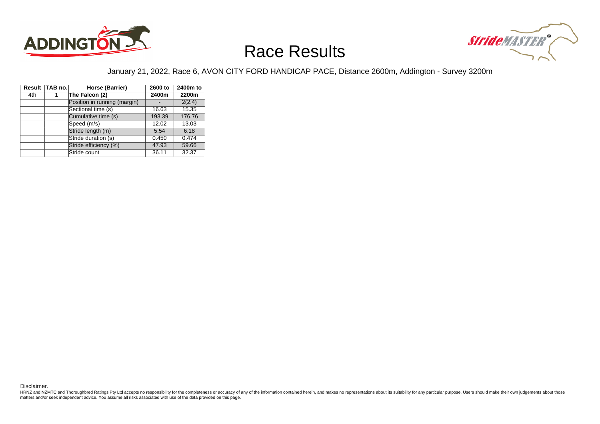



#### January 21, 2022, Race 6, AVON CITY FORD HANDICAP PACE, Distance 2600m, Addington - Survey 3200m

|     | Result TAB no. | Horse (Barrier)              | 2600 to | 2400m to |
|-----|----------------|------------------------------|---------|----------|
| 4th |                | The Falcon (2)               | 2400m   | 2200m    |
|     |                | Position in running (margin) |         | 2(2.4)   |
|     |                | Sectional time (s)           | 16.63   | 15.35    |
|     |                | Cumulative time (s)          | 193.39  | 176.76   |
|     |                | Speed (m/s)                  | 12.02   | 13.03    |
|     |                | Stride length (m)            | 5.54    | 6.18     |
|     |                | Stride duration (s)          | 0.450   | 0.474    |
|     |                | Stride efficiency (%)        | 47.93   | 59.66    |
|     |                | Stride count                 | 36.11   | 32.37    |

Disclaimer.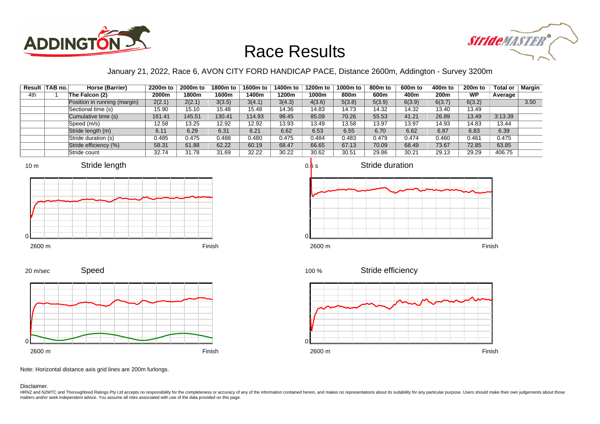



### January 21, 2022, Race 6, AVON CITY FORD HANDICAP PACE, Distance 2600m, Addington - Survey 3200m

|     | Result   TAB no. | Horse (Barrier)              | 2200m to | 2000m to | 1800m to | 1600m to | 1400m to | 1200m to | 1000m to | 800m to | 600m to | 400m to          | <b>200m to</b> | <b>Total or</b> | Margin |
|-----|------------------|------------------------------|----------|----------|----------|----------|----------|----------|----------|---------|---------|------------------|----------------|-----------------|--------|
| 4th |                  | The Falcon (2)               | 2000m    | 1800m    | 1600m    | 400m     | 1200m    | 1000m    | 800m     | 600m    | 400m    | 200 <sub>m</sub> | <b>WP</b>      | Average         |        |
|     |                  | Position in running (margin) | 2(2.1)   | 2(2.1)   | 3(3.5)   | 3(4.1)   | 3(4.3)   | 4(3.6)   | 5(3.8)   | 5(3.9)  | 6(3.9)  | 6(3.7)           | 6(3.2)         |                 | 3.50   |
|     |                  | Sectional time (s)           | 15.90    | 15.10    | 15.48    | 15.48    | 14.36    | 14.83    | 14.73    | 14.32   | 14.32   | 13.40            | 13.49          |                 |        |
|     |                  | Cumulative time (s)          | 161.41   | 145.51   | 130.41   | 114.93   | 99.45    | 85.09    | 70.26    | 55.53   | 41.21   | 26.89            | 13.49          | 3:13.39         |        |
|     |                  | Speed (m/s)                  | 12.58    | 13.25    | 12.92    | 12.92    | 13.93    | 13.49    | 13.58    | 13.97   | 13.97   | 14.93            | 14.83          | 13.44           |        |
|     |                  | Stride length (m)            | 6.11     | 6.29     | 6.31     | 6.21     | 6.62     | 6.53     | 6.55     | 6.70    | 6.62    | 6.87             | 6.83           | 6.39            |        |
|     |                  | Stride duration (s)          | 0.485    | 0.475    | 0.488    | 0.480    | 0.475    | 0.484    | 0.483    | 0.479   | 0.474   | 0.460            | 0.461          | 0.475           |        |
|     |                  | Stride efficiency (%)        | 58.31    | 61.88    | 62.22    | 60.19    | 68.47    | 66.65    | 67.13    | 70.09   | 68.49   | 73.67            | 72.85          | 63.85           |        |
|     |                  | Stride count                 | 32.74    | 31.78    | 31.69    | 32.22    | 30.22    | 30.62    | 30.51    | 29.86   | 30.21   | 29.13            | 29.29          | 406.75          |        |

















Note: Horizontal distance axis grid lines are 200m furlongs.

#### Disclaimer.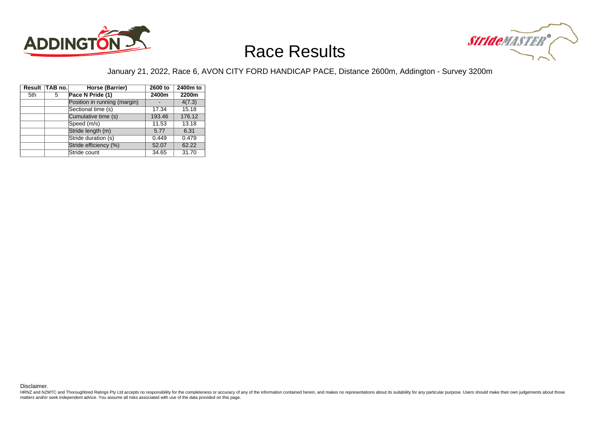



#### January 21, 2022, Race 6, AVON CITY FORD HANDICAP PACE, Distance 2600m, Addington - Survey 3200m

|     | Result TAB no. | Horse (Barrier)              | 2600 to | 2400m to |
|-----|----------------|------------------------------|---------|----------|
| 5th | 5              | Pace N Pride (1)             | 2400m   | 2200m    |
|     |                | Position in running (margin) |         | 4(7.3)   |
|     |                | Sectional time (s)           | 17.34   | 15.18    |
|     |                | Cumulative time (s)          | 193.46  | 176.12   |
|     |                | Speed (m/s)                  | 11.53   | 13.18    |
|     |                | Stride length (m)            | 5.77    | 6.31     |
|     |                | Stride duration (s)          | 0.449   | 0.479    |
|     |                | Stride efficiency (%)        | 52.07   | 62.22    |
|     |                | Stride count                 | 34.65   | 31.70    |

Disclaimer.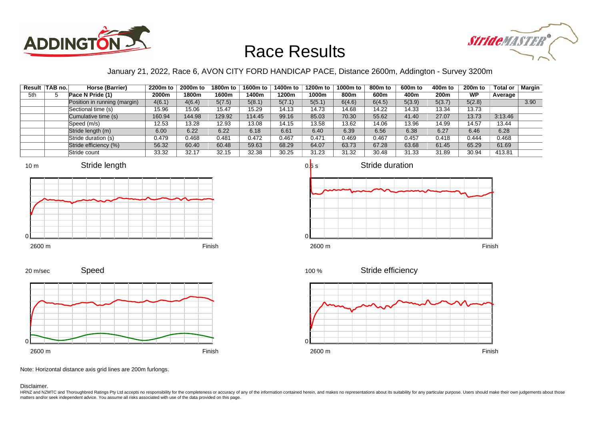



### January 21, 2022, Race 6, AVON CITY FORD HANDICAP PACE, Distance 2600m, Addington - Survey 3200m

|     | Result   TAB no. | Horse (Barrier)              | 2200m to | 2000m to | 1800m to | 1600m to | 1400m to | 1200m to | 1000m to | 800m to | 600m to | 400m to | 200 <sub>m</sub> to | Total or | <b>Margin</b> |
|-----|------------------|------------------------------|----------|----------|----------|----------|----------|----------|----------|---------|---------|---------|---------------------|----------|---------------|
| 5th |                  | Pace N Pride (1)             | 2000m    | 1800m    | 1600m    | 1400m    | 1200m    | 1000m    | 800m     | 600m    | 400m    | 200m    | <b>WP</b>           | Average  |               |
|     |                  | Position in running (margin) | 4(6.1)   | 4(6.4)   | 5(7.5)   | 5(8.1)   | 5(7.1)   | 5(5.1)   | 6(4.6)   | 6(4.5)  | 5(3.9)  | 5(3.7)  | 5(2.8)              |          | 3.90          |
|     |                  | Sectional time (s)           | 15.96    | 15.06    | 15.47    | 15.29    | 14.13    | 14.73    | 14.68    | 14.22   | 14.33   | 13.34   | 13.73               |          |               |
|     |                  | Cumulative time (s)          | 160.94   | 144.98   | 129.92   | 114.45   | 99.16    | 85.03    | 70.30    | 55.62   | 41.40   | 27.07   | 13.73               | 3:13.46  |               |
|     |                  | Speed (m/s)                  | 12.53    | 13.28    | 12.93    | 13.08    | 14.15    | 13.58    | 13.62    | 14.06   | 13.96   | 14.99   | 14.57               | 13.44    |               |
|     |                  | Stride length (m)            | 6.00     | 6.22     | 6.22     | 6.18     | 6.61     | 6.40     | 6.39     | 6.56    | 6.38    | 6.27    | 6.46                | 6.28     |               |
|     |                  | Stride duration (s)          | 0.479    | 0.468    | 0.481    | 0.472    | 0.467    | 0.471    | 0.469    | 0.467   | 0.457   | 0.418   | 0.444               | 0.468    |               |
|     |                  | Stride efficiency (%)        | 56.32    | 60.40    | 60.48    | 59.63    | 68.29    | 64.07    | 63.73    | 67.28   | 63.68   | 61.45   | 65.29               | 61.69    |               |
|     |                  | Stride count                 | 33.32    | 32.17    | 32.15    | 32.38    | 30.25    | 31.23    | 31.32    | 30.48   | 31.33   | 31.89   | 30.94               | 413.81   |               |















Note: Horizontal distance axis grid lines are 200m furlongs.

#### Disclaimer.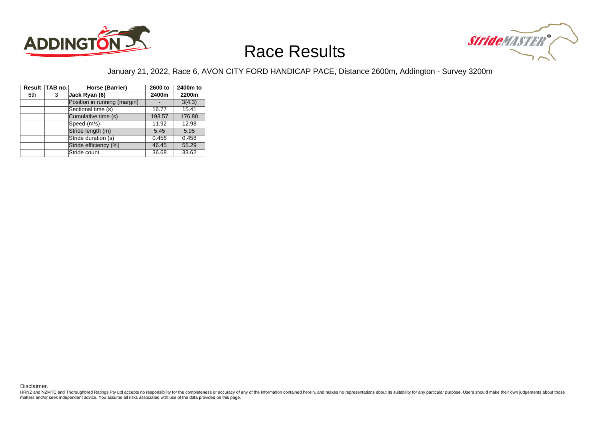



#### January 21, 2022, Race 6, AVON CITY FORD HANDICAP PACE, Distance 2600m, Addington - Survey 3200m

|     | Result TAB no. | Horse (Barrier)              | 2600 to | 2400m to |
|-----|----------------|------------------------------|---------|----------|
| 6th | 3              | Jack Ryan (6)                | 2400m   | 2200m    |
|     |                | Position in running (margin) |         | 3(4.3)   |
|     |                | Sectional time (s)           | 16.77   | 15.41    |
|     |                | Cumulative time (s)          | 193.57  | 176.80   |
|     |                | Speed (m/s)                  | 11.92   | 12.98    |
|     |                | Stride length (m)            | 5.45    | 5.95     |
|     |                | Stride duration (s)          | 0.456   | 0.458    |
|     |                | Stride efficiency (%)        | 46.45   | 55.29    |
|     |                | Stride count                 | 36.68   | 33.62    |

Disclaimer.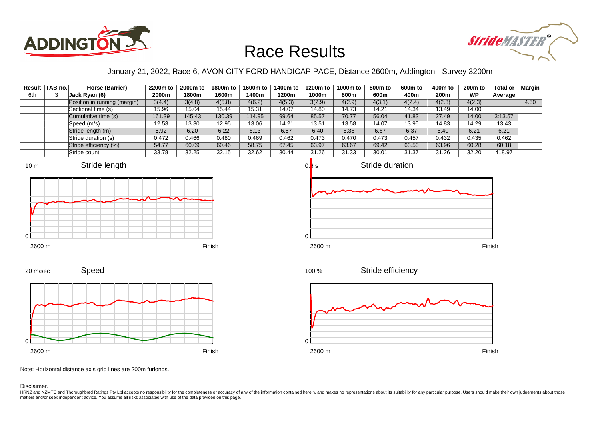



### January 21, 2022, Race 6, AVON CITY FORD HANDICAP PACE, Distance 2600m, Addington - Survey 3200m

|     | Result   TAB no. | Horse (Barrier)              | 2200m to | 2000m to | 1800m to | 1600m to | 1400m to | 1200m to | 1000m to | 800m to | 600m to | 400m to | 200 <sub>m</sub> to | Total or | Margin |
|-----|------------------|------------------------------|----------|----------|----------|----------|----------|----------|----------|---------|---------|---------|---------------------|----------|--------|
| 6th |                  | Jack Ryan (6)                | 2000m    | 1800m    | 1600m    | l 400m   | 1200m    | 1000m    | 800m     | 600m    | 400m    | 200m    | <b>WP</b>           | Average  |        |
|     |                  | Position in running (margin) | 3(4.4)   | 3(4.8)   | 4(5.8)   | 4(6.2)   | 4(5.3)   | 3(2.9)   | 4(2.9)   | 4(3.1)  | 4(2.4)  | 4(2.3)  | 4(2.3)              |          | 4.50   |
|     |                  | Sectional time (s)           | 15.96    | 15.04    | 15.44    | 15.31    | 14.07    | 14.80    | 14.73    | 14.21   | 14.34   | 13.49   | 14.00               |          |        |
|     |                  | Cumulative time (s)          | 161.39   | 145.43   | 130.39   | 14.95    | 99.64    | 85.57    | 70.77    | 56.04   | 41.83   | 27.49   | 14.00               | 3:13.57  |        |
|     |                  | Speed (m/s)                  | 12.53    | 13.30    | 12.95    | 13.06    | 14.21    | 13.51    | 13.58    | 14.07   | 13.95   | 14.83   | 14.29               | 13.43    |        |
|     |                  | Stride length (m)            | 5.92     | 6.20     | 6.22     | 6.13     | 6.57     | 6.40     | 6.38     | 6.67    | 6.37    | 6.40    | 6.21                | 6.21     |        |
|     |                  | Stride duration (s)          | 0.472    | 0.466    | 0.480    | 0.469    | 0.462    | 0.473    | 0.470    | 0.473   | 0.457   | 0.432   | 0.435               | 0.462    |        |
|     |                  | Stride efficiency (%)        | 54.77    | 60.09    | 60.46    | 58.75    | 67.45    | 63.97    | 63.67    | 69.42   | 63.50   | 63.96   | 60.28               | 60.18    |        |
|     |                  | Stride count                 | 33.78    | 32.25    | 32.15    | 32.62    | 30.44    | 31.26    | 31.33    | 30.01   | 31.37   | 31.26   | 32.20               | 418.97   |        |









2600 m Finish





Stride efficiency



Note: Horizontal distance axis grid lines are 200m furlongs.

#### Disclaimer.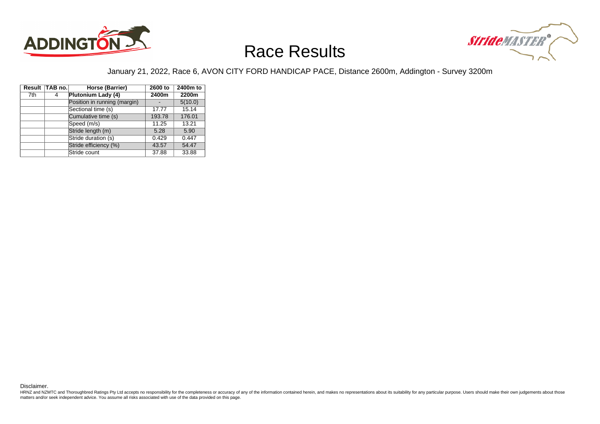



#### January 21, 2022, Race 6, AVON CITY FORD HANDICAP PACE, Distance 2600m, Addington - Survey 3200m

|     | Result TAB no. | Horse (Barrier)              | 2600 to | 2400m to |  |
|-----|----------------|------------------------------|---------|----------|--|
| 7th | 4              | Plutonium Lady (4)           | 2400m   | 2200m    |  |
|     |                | Position in running (margin) |         | 5(10.0)  |  |
|     |                | Sectional time (s)           | 17.77   | 15.14    |  |
|     |                | Cumulative time (s)          | 193.78  | 176.01   |  |
|     |                | Speed (m/s)                  | 11.25   | 13.21    |  |
|     |                | Stride length (m)            | 5.28    | 5.90     |  |
|     |                | Stride duration (s)          | 0.429   | 0.447    |  |
|     |                | Stride efficiency (%)        | 43.57   | 54.47    |  |
|     |                | Stride count                 | 37.88   | 33.88    |  |

Disclaimer.